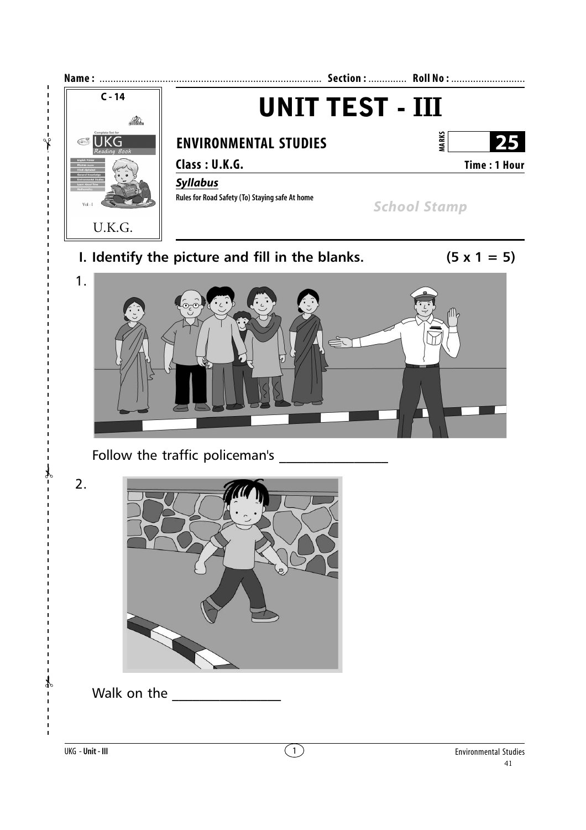

 $\mathbf{I}$  $\mathbf I$  $\mathbf{I}$ 

 $\mathbf{I}$ 

 $\mathbf{I}$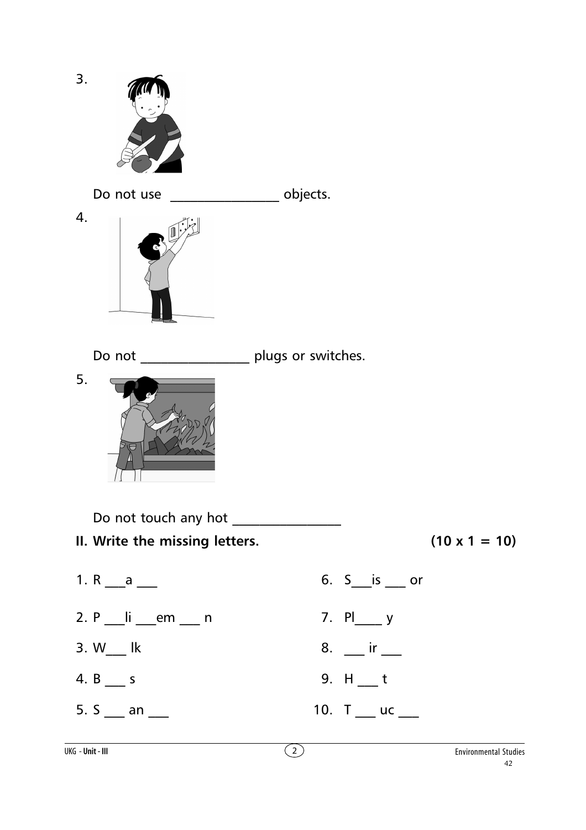